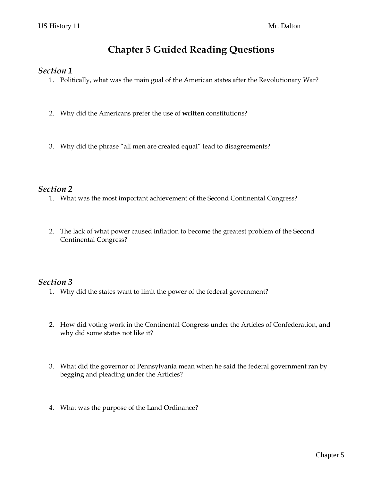# **Chapter 5 Guided Reading Questions**

#### *Section 1*

- 1. Politically, what was the main goal of the American states after the Revolutionary War?
- 2. Why did the Americans prefer the use of **written** constitutions?
- 3. Why did the phrase "all men are created equal" lead to disagreements?

### *Section 2*

- 1. What was the most important achievement of the Second Continental Congress?
- 2. The lack of what power caused inflation to become the greatest problem of the Second Continental Congress?

### *Section 3*

- 1. Why did the states want to limit the power of the federal government?
- 2. How did voting work in the Continental Congress under the Articles of Confederation, and why did some states not like it?
- 3. What did the governor of Pennsylvania mean when he said the federal government ran by begging and pleading under the Articles?
- 4. What was the purpose of the Land Ordinance?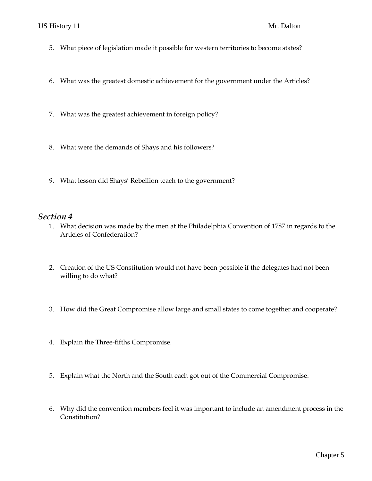- 5. What piece of legislation made it possible for western territories to become states?
- 6. What was the greatest domestic achievement for the government under the Articles?
- 7. What was the greatest achievement in foreign policy?
- 8. What were the demands of Shays and his followers?
- 9. What lesson did Shays' Rebellion teach to the government?

#### *Section 4*

- 1. What decision was made by the men at the Philadelphia Convention of 1787 in regards to the Articles of Confederation?
- 2. Creation of the US Constitution would not have been possible if the delegates had not been willing to do what?
- 3. How did the Great Compromise allow large and small states to come together and cooperate?
- 4. Explain the Three-fifths Compromise.
- 5. Explain what the North and the South each got out of the Commercial Compromise.
- 6. Why did the convention members feel it was important to include an amendment process in the Constitution?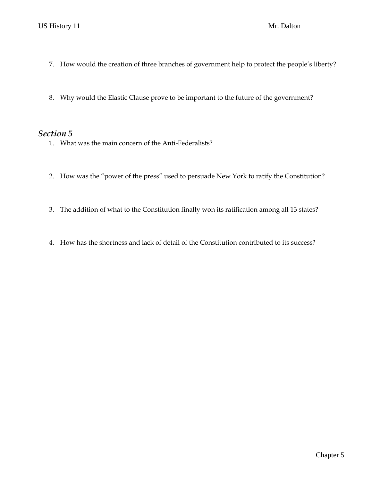- 7. How would the creation of three branches of government help to protect the people's liberty?
- 8. Why would the Elastic Clause prove to be important to the future of the government?

### *Section 5*

- 1. What was the main concern of the Anti-Federalists?
- 2. How was the "power of the press" used to persuade New York to ratify the Constitution?
- 3. The addition of what to the Constitution finally won its ratification among all 13 states?
- 4. How has the shortness and lack of detail of the Constitution contributed to its success?